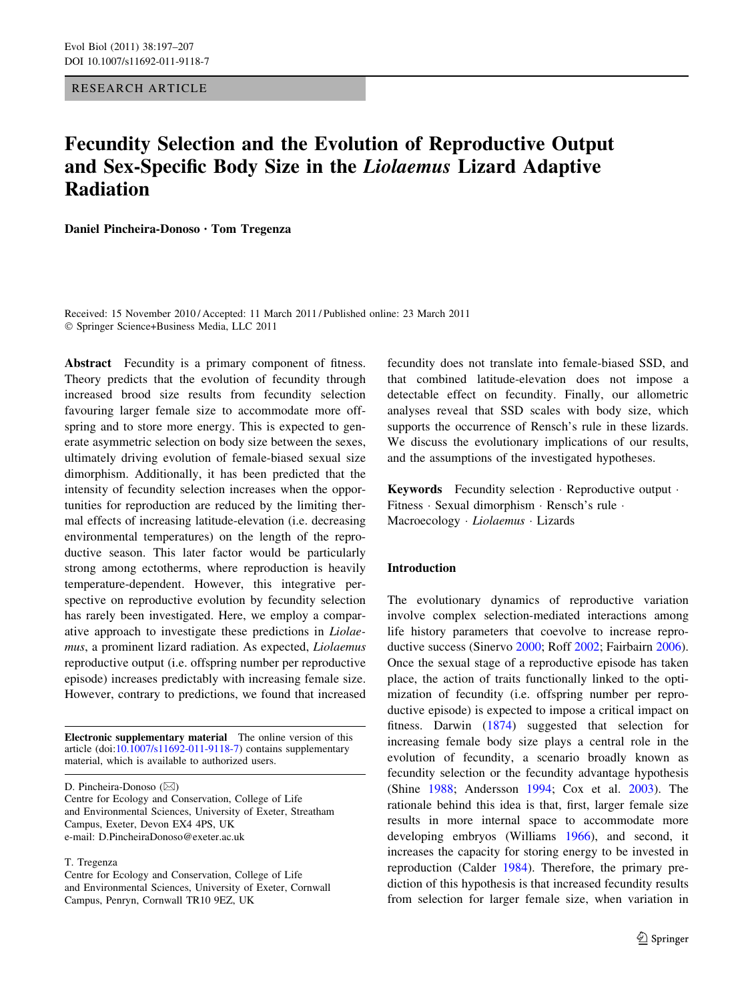RESEARCH ARTICLE

# Fecundity Selection and the Evolution of Reproductive Output and Sex-Specific Body Size in the Liolaemus Lizard Adaptive Radiation

Daniel Pincheira-Donoso • Tom Tregenza

Received: 15 November 2010 / Accepted: 11 March 2011 / Published online: 23 March 2011 - Springer Science+Business Media, LLC 2011

Abstract Fecundity is a primary component of fitness. Theory predicts that the evolution of fecundity through increased brood size results from fecundity selection favouring larger female size to accommodate more offspring and to store more energy. This is expected to generate asymmetric selection on body size between the sexes, ultimately driving evolution of female-biased sexual size dimorphism. Additionally, it has been predicted that the intensity of fecundity selection increases when the opportunities for reproduction are reduced by the limiting thermal effects of increasing latitude-elevation (i.e. decreasing environmental temperatures) on the length of the reproductive season. This later factor would be particularly strong among ectotherms, where reproduction is heavily temperature-dependent. However, this integrative perspective on reproductive evolution by fecundity selection has rarely been investigated. Here, we employ a comparative approach to investigate these predictions in Liolaemus, a prominent lizard radiation. As expected, Liolaemus reproductive output (i.e. offspring number per reproductive episode) increases predictably with increasing female size. However, contrary to predictions, we found that increased

Electronic supplementary material The online version of this article (doi:[10.1007/s11692-011-9118-7\)](http://dx.doi.org/10.1007/s11692-011-9118-7) contains supplementary material, which is available to authorized users.

D. Pincheira-Donoso (⊠)

Centre for Ecology and Conservation, College of Life and Environmental Sciences, University of Exeter, Streatham Campus, Exeter, Devon EX4 4PS, UK e-mail: D.PincheiraDonoso@exeter.ac.uk

#### T. Tregenza

Centre for Ecology and Conservation, College of Life and Environmental Sciences, University of Exeter, Cornwall Campus, Penryn, Cornwall TR10 9EZ, UK

fecundity does not translate into female-biased SSD, and that combined latitude-elevation does not impose a detectable effect on fecundity. Finally, our allometric analyses reveal that SSD scales with body size, which supports the occurrence of Rensch's rule in these lizards. We discuss the evolutionary implications of our results, and the assumptions of the investigated hypotheses.

Keywords Fecundity selection · Reproductive output · Fitness - Sexual dimorphism - Rensch's rule - Macroecology · Liolaemus · Lizards

# Introduction

The evolutionary dynamics of reproductive variation involve complex selection-mediated interactions among life history parameters that coevolve to increase reproductive success (Sinervo [2000;](#page-10-0) Roff [2002;](#page-10-0) Fairbairn [2006](#page-9-0)). Once the sexual stage of a reproductive episode has taken place, the action of traits functionally linked to the optimization of fecundity (i.e. offspring number per reproductive episode) is expected to impose a critical impact on fitness. Darwin ([1874\)](#page-9-0) suggested that selection for increasing female body size plays a central role in the evolution of fecundity, a scenario broadly known as fecundity selection or the fecundity advantage hypothesis (Shine [1988](#page-10-0); Andersson [1994;](#page-8-0) Cox et al. [2003\)](#page-8-0). The rationale behind this idea is that, first, larger female size results in more internal space to accommodate more developing embryos (Williams [1966\)](#page-10-0), and second, it increases the capacity for storing energy to be invested in reproduction (Calder [1984\)](#page-8-0). Therefore, the primary prediction of this hypothesis is that increased fecundity results from selection for larger female size, when variation in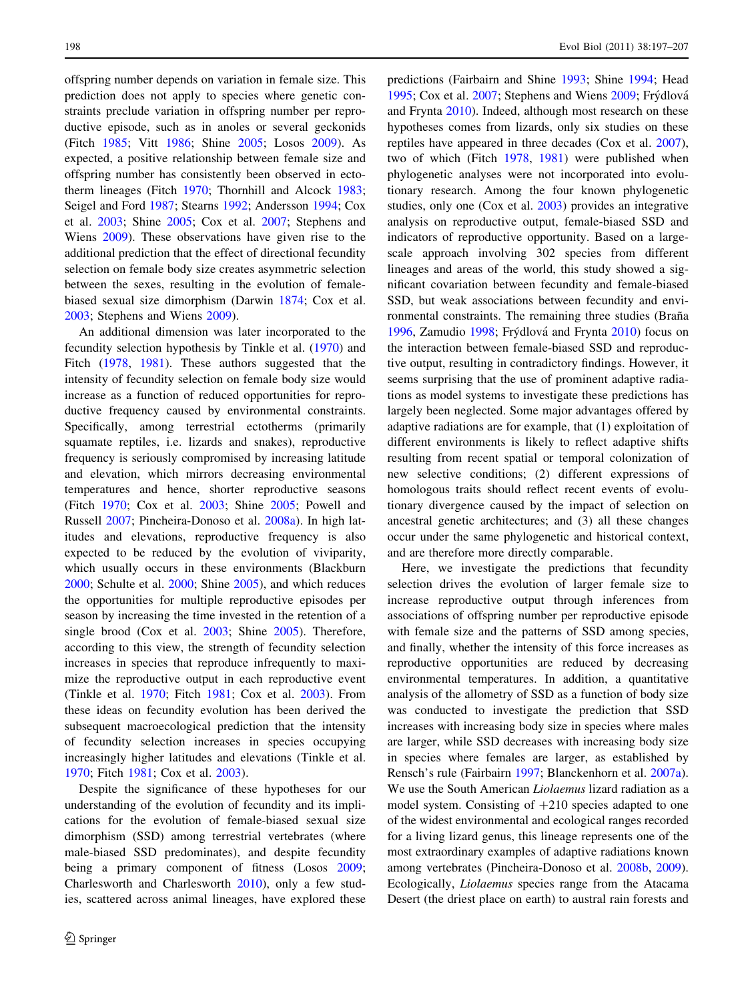offspring number depends on variation in female size. This prediction does not apply to species where genetic constraints preclude variation in offspring number per reproductive episode, such as in anoles or several geckonids (Fitch [1985;](#page-9-0) Vitt [1986;](#page-10-0) Shine [2005](#page-10-0); Losos [2009](#page-9-0)). As expected, a positive relationship between female size and offspring number has consistently been observed in ectotherm lineages (Fitch [1970;](#page-9-0) Thornhill and Alcock [1983](#page-10-0); Seigel and Ford [1987;](#page-10-0) Stearns [1992;](#page-10-0) Andersson [1994;](#page-8-0) Cox et al. [2003](#page-8-0); Shine [2005;](#page-10-0) Cox et al. [2007;](#page-8-0) Stephens and Wiens [2009](#page-10-0)). These observations have given rise to the additional prediction that the effect of directional fecundity selection on female body size creates asymmetric selection between the sexes, resulting in the evolution of femalebiased sexual size dimorphism (Darwin [1874](#page-9-0); Cox et al. [2003;](#page-8-0) Stephens and Wiens [2009](#page-10-0)).

An additional dimension was later incorporated to the fecundity selection hypothesis by Tinkle et al. ([1970\)](#page-10-0) and Fitch [\(1978](#page-9-0), [1981](#page-9-0)). These authors suggested that the intensity of fecundity selection on female body size would increase as a function of reduced opportunities for reproductive frequency caused by environmental constraints. Specifically, among terrestrial ectotherms (primarily squamate reptiles, i.e. lizards and snakes), reproductive frequency is seriously compromised by increasing latitude and elevation, which mirrors decreasing environmental temperatures and hence, shorter reproductive seasons (Fitch [1970](#page-9-0); Cox et al. [2003;](#page-8-0) Shine [2005;](#page-10-0) Powell and Russell [2007;](#page-10-0) Pincheira-Donoso et al. [2008a\)](#page-9-0). In high latitudes and elevations, reproductive frequency is also expected to be reduced by the evolution of viviparity, which usually occurs in these environments (Blackburn [2000;](#page-8-0) Schulte et al. [2000](#page-10-0); Shine [2005\)](#page-10-0), and which reduces the opportunities for multiple reproductive episodes per season by increasing the time invested in the retention of a single brood (Cox et al. [2003;](#page-8-0) Shine [2005](#page-10-0)). Therefore, according to this view, the strength of fecundity selection increases in species that reproduce infrequently to maximize the reproductive output in each reproductive event (Tinkle et al. [1970;](#page-10-0) Fitch [1981](#page-9-0); Cox et al. [2003](#page-8-0)). From these ideas on fecundity evolution has been derived the subsequent macroecological prediction that the intensity of fecundity selection increases in species occupying increasingly higher latitudes and elevations (Tinkle et al. [1970;](#page-10-0) Fitch [1981;](#page-9-0) Cox et al. [2003\)](#page-8-0).

Despite the significance of these hypotheses for our understanding of the evolution of fecundity and its implications for the evolution of female-biased sexual size dimorphism (SSD) among terrestrial vertebrates (where male-biased SSD predominates), and despite fecundity being a primary component of fitness (Losos [2009](#page-9-0); Charlesworth and Charlesworth [2010](#page-8-0)), only a few studies, scattered across animal lineages, have explored these predictions (Fairbairn and Shine [1993](#page-9-0); Shine [1994](#page-10-0); Head [1995](#page-9-0); Cox et al. [2007](#page-8-0); Stephens and Wiens [2009;](#page-10-0) Frýdlová and Frynta [2010\)](#page-9-0). Indeed, although most research on these hypotheses comes from lizards, only six studies on these reptiles have appeared in three decades (Cox et al. [2007](#page-8-0)), two of which (Fitch [1978](#page-9-0), [1981\)](#page-9-0) were published when phylogenetic analyses were not incorporated into evolutionary research. Among the four known phylogenetic studies, only one (Cox et al. [2003\)](#page-8-0) provides an integrative analysis on reproductive output, female-biased SSD and indicators of reproductive opportunity. Based on a largescale approach involving 302 species from different lineages and areas of the world, this study showed a significant covariation between fecundity and female-biased SSD, but weak associations between fecundity and environmental constraints. The remaining three studies (Braña [1996](#page-8-0), Zamudio [1998](#page-10-0); Frýdlová and Frynta [2010](#page-9-0)) focus on the interaction between female-biased SSD and reproductive output, resulting in contradictory findings. However, it seems surprising that the use of prominent adaptive radiations as model systems to investigate these predictions has largely been neglected. Some major advantages offered by adaptive radiations are for example, that (1) exploitation of different environments is likely to reflect adaptive shifts resulting from recent spatial or temporal colonization of new selective conditions; (2) different expressions of homologous traits should reflect recent events of evolutionary divergence caused by the impact of selection on ancestral genetic architectures; and (3) all these changes occur under the same phylogenetic and historical context, and are therefore more directly comparable.

Here, we investigate the predictions that fecundity selection drives the evolution of larger female size to increase reproductive output through inferences from associations of offspring number per reproductive episode with female size and the patterns of SSD among species, and finally, whether the intensity of this force increases as reproductive opportunities are reduced by decreasing environmental temperatures. In addition, a quantitative analysis of the allometry of SSD as a function of body size was conducted to investigate the prediction that SSD increases with increasing body size in species where males are larger, while SSD decreases with increasing body size in species where females are larger, as established by Rensch's rule (Fairbairn [1997;](#page-9-0) Blanckenhorn et al. [2007a](#page-8-0)). We use the South American Liolaemus lizard radiation as a model system. Consisting of  $+210$  species adapted to one of the widest environmental and ecological ranges recorded for a living lizard genus, this lineage represents one of the most extraordinary examples of adaptive radiations known among vertebrates (Pincheira-Donoso et al. [2008b](#page-9-0), [2009](#page-9-0)). Ecologically, Liolaemus species range from the Atacama Desert (the driest place on earth) to austral rain forests and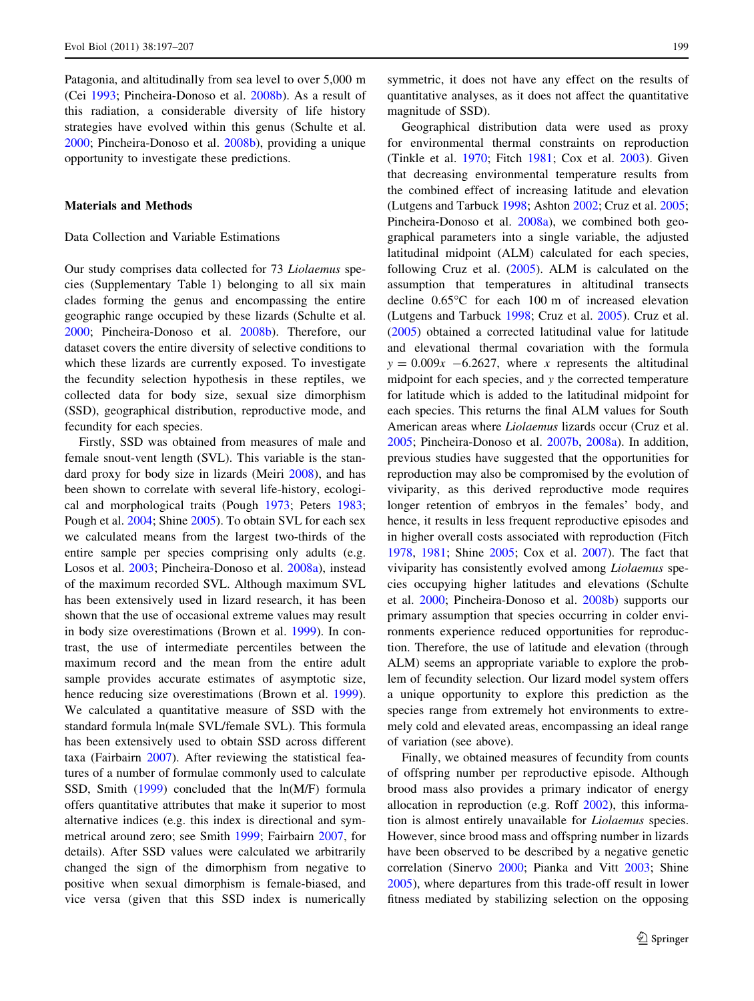Patagonia, and altitudinally from sea level to over 5,000 m (Cei [1993;](#page-8-0) Pincheira-Donoso et al. [2008b](#page-9-0)). As a result of this radiation, a considerable diversity of life history strategies have evolved within this genus (Schulte et al. [2000;](#page-10-0) Pincheira-Donoso et al. [2008b](#page-9-0)), providing a unique opportunity to investigate these predictions.

## Materials and Methods

# Data Collection and Variable Estimations

Our study comprises data collected for 73 Liolaemus species (Supplementary Table 1) belonging to all six main clades forming the genus and encompassing the entire geographic range occupied by these lizards (Schulte et al. [2000;](#page-10-0) Pincheira-Donoso et al. [2008b\)](#page-9-0). Therefore, our dataset covers the entire diversity of selective conditions to which these lizards are currently exposed. To investigate the fecundity selection hypothesis in these reptiles, we collected data for body size, sexual size dimorphism (SSD), geographical distribution, reproductive mode, and fecundity for each species.

Firstly, SSD was obtained from measures of male and female snout-vent length (SVL). This variable is the standard proxy for body size in lizards (Meiri [2008](#page-9-0)), and has been shown to correlate with several life-history, ecological and morphological traits (Pough [1973](#page-9-0); Peters [1983](#page-9-0); Pough et al. [2004;](#page-9-0) Shine [2005\)](#page-10-0). To obtain SVL for each sex we calculated means from the largest two-thirds of the entire sample per species comprising only adults (e.g. Losos et al. [2003;](#page-9-0) Pincheira-Donoso et al. [2008a\)](#page-9-0), instead of the maximum recorded SVL. Although maximum SVL has been extensively used in lizard research, it has been shown that the use of occasional extreme values may result in body size overestimations (Brown et al. [1999](#page-8-0)). In contrast, the use of intermediate percentiles between the maximum record and the mean from the entire adult sample provides accurate estimates of asymptotic size, hence reducing size overestimations (Brown et al. [1999](#page-8-0)). We calculated a quantitative measure of SSD with the standard formula ln(male SVL/female SVL). This formula has been extensively used to obtain SSD across different taxa (Fairbairn [2007\)](#page-9-0). After reviewing the statistical features of a number of formulae commonly used to calculate SSD, Smith ([1999\)](#page-10-0) concluded that the ln(M/F) formula offers quantitative attributes that make it superior to most alternative indices (e.g. this index is directional and symmetrical around zero; see Smith [1999](#page-10-0); Fairbairn [2007,](#page-9-0) for details). After SSD values were calculated we arbitrarily changed the sign of the dimorphism from negative to positive when sexual dimorphism is female-biased, and vice versa (given that this SSD index is numerically symmetric, it does not have any effect on the results of quantitative analyses, as it does not affect the quantitative magnitude of SSD).

Geographical distribution data were used as proxy for environmental thermal constraints on reproduction (Tinkle et al. [1970](#page-10-0); Fitch [1981;](#page-9-0) Cox et al. [2003\)](#page-8-0). Given that decreasing environmental temperature results from the combined effect of increasing latitude and elevation (Lutgens and Tarbuck [1998;](#page-9-0) Ashton [2002;](#page-8-0) Cruz et al. [2005](#page-8-0); Pincheira-Donoso et al. [2008a](#page-9-0)), we combined both geographical parameters into a single variable, the adjusted latitudinal midpoint (ALM) calculated for each species, following Cruz et al. [\(2005](#page-8-0)). ALM is calculated on the assumption that temperatures in altitudinal transects decline 0.65C for each 100 m of increased elevation (Lutgens and Tarbuck [1998](#page-9-0); Cruz et al. [2005\)](#page-8-0). Cruz et al. [\(2005](#page-8-0)) obtained a corrected latitudinal value for latitude and elevational thermal covariation with the formula  $y = 0.009x$  -6.2627, where x represents the altitudinal midpoint for each species, and y the corrected temperature for latitude which is added to the latitudinal midpoint for each species. This returns the final ALM values for South American areas where Liolaemus lizards occur (Cruz et al. [2005](#page-8-0); Pincheira-Donoso et al. [2007b](#page-9-0), [2008a\)](#page-9-0). In addition, previous studies have suggested that the opportunities for reproduction may also be compromised by the evolution of viviparity, as this derived reproductive mode requires longer retention of embryos in the females' body, and hence, it results in less frequent reproductive episodes and in higher overall costs associated with reproduction (Fitch [1978](#page-9-0), [1981;](#page-9-0) Shine [2005;](#page-10-0) Cox et al. [2007](#page-8-0)). The fact that viviparity has consistently evolved among Liolaemus species occupying higher latitudes and elevations (Schulte et al. [2000;](#page-10-0) Pincheira-Donoso et al. [2008b](#page-9-0)) supports our primary assumption that species occurring in colder environments experience reduced opportunities for reproduction. Therefore, the use of latitude and elevation (through ALM) seems an appropriate variable to explore the problem of fecundity selection. Our lizard model system offers a unique opportunity to explore this prediction as the species range from extremely hot environments to extremely cold and elevated areas, encompassing an ideal range of variation (see above).

Finally, we obtained measures of fecundity from counts of offspring number per reproductive episode. Although brood mass also provides a primary indicator of energy allocation in reproduction (e.g. Roff [2002\)](#page-10-0), this information is almost entirely unavailable for Liolaemus species. However, since brood mass and offspring number in lizards have been observed to be described by a negative genetic correlation (Sinervo [2000;](#page-10-0) Pianka and Vitt [2003;](#page-9-0) Shine [2005](#page-10-0)), where departures from this trade-off result in lower fitness mediated by stabilizing selection on the opposing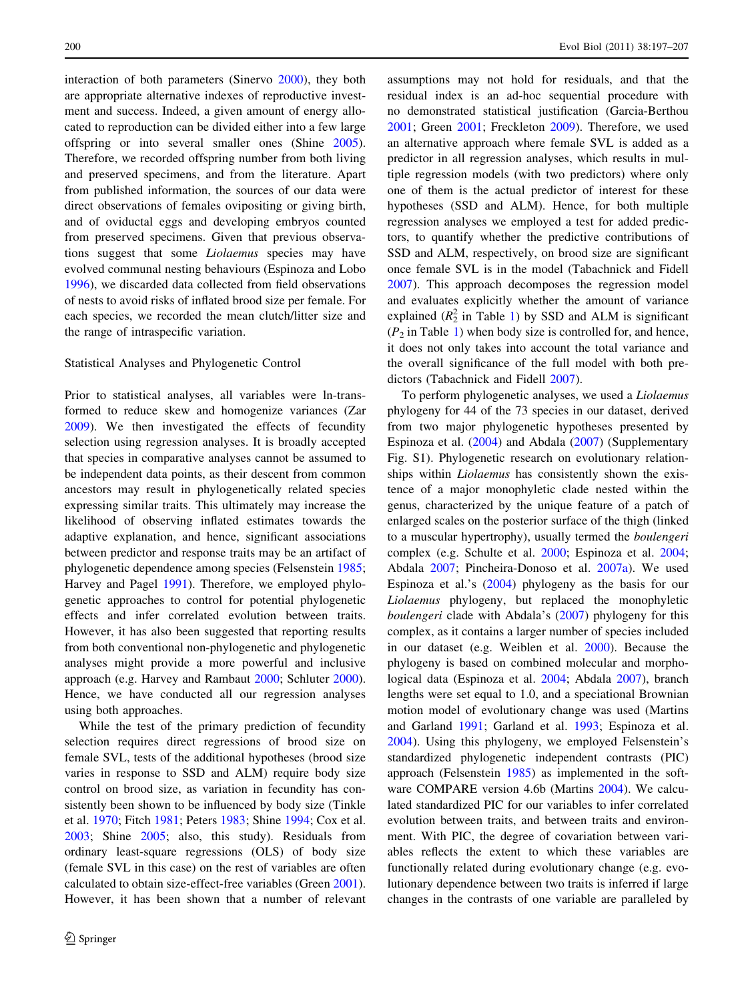interaction of both parameters (Sinervo [2000\)](#page-10-0), they both are appropriate alternative indexes of reproductive investment and success. Indeed, a given amount of energy allocated to reproduction can be divided either into a few large offspring or into several smaller ones (Shine [2005](#page-10-0)). Therefore, we recorded offspring number from both living and preserved specimens, and from the literature. Apart from published information, the sources of our data were direct observations of females ovipositing or giving birth, and of oviductal eggs and developing embryos counted from preserved specimens. Given that previous observations suggest that some Liolaemus species may have evolved communal nesting behaviours (Espinoza and Lobo [1996\)](#page-9-0), we discarded data collected from field observations of nests to avoid risks of inflated brood size per female. For each species, we recorded the mean clutch/litter size and the range of intraspecific variation.

#### Statistical Analyses and Phylogenetic Control

Prior to statistical analyses, all variables were ln-transformed to reduce skew and homogenize variances (Zar [2009\)](#page-10-0). We then investigated the effects of fecundity selection using regression analyses. It is broadly accepted that species in comparative analyses cannot be assumed to be independent data points, as their descent from common ancestors may result in phylogenetically related species expressing similar traits. This ultimately may increase the likelihood of observing inflated estimates towards the adaptive explanation, and hence, significant associations between predictor and response traits may be an artifact of phylogenetic dependence among species (Felsenstein [1985](#page-9-0); Harvey and Pagel [1991\)](#page-9-0). Therefore, we employed phylogenetic approaches to control for potential phylogenetic effects and infer correlated evolution between traits. However, it has also been suggested that reporting results from both conventional non-phylogenetic and phylogenetic analyses might provide a more powerful and inclusive approach (e.g. Harvey and Rambaut [2000;](#page-9-0) Schluter [2000](#page-10-0)). Hence, we have conducted all our regression analyses using both approaches.

While the test of the primary prediction of fecundity selection requires direct regressions of brood size on female SVL, tests of the additional hypotheses (brood size varies in response to SSD and ALM) require body size control on brood size, as variation in fecundity has consistently been shown to be influenced by body size (Tinkle et al. [1970](#page-10-0); Fitch [1981;](#page-9-0) Peters [1983](#page-9-0); Shine [1994;](#page-10-0) Cox et al. [2003;](#page-8-0) Shine [2005](#page-10-0); also, this study). Residuals from ordinary least-square regressions (OLS) of body size (female SVL in this case) on the rest of variables are often calculated to obtain size-effect-free variables (Green [2001](#page-9-0)). However, it has been shown that a number of relevant

assumptions may not hold for residuals, and that the residual index is an ad-hoc sequential procedure with no demonstrated statistical justification (Garcia-Berthou [2001](#page-9-0); Green [2001](#page-9-0); Freckleton [2009\)](#page-9-0). Therefore, we used an alternative approach where female SVL is added as a predictor in all regression analyses, which results in multiple regression models (with two predictors) where only one of them is the actual predictor of interest for these hypotheses (SSD and ALM). Hence, for both multiple regression analyses we employed a test for added predictors, to quantify whether the predictive contributions of SSD and ALM, respectively, on brood size are significant once female SVL is in the model (Tabachnick and Fidell [2007](#page-10-0)). This approach decomposes the regression model and evaluates explicitly whether the amount of variance explained  $(R_2^2$  in Table [1](#page-4-0)) by SSD and ALM is significant  $(P_2$  in Table [1](#page-4-0)) when body size is controlled for, and hence, it does not only takes into account the total variance and the overall significance of the full model with both predictors (Tabachnick and Fidell [2007\)](#page-10-0).

To perform phylogenetic analyses, we used a Liolaemus phylogeny for 44 of the 73 species in our dataset, derived from two major phylogenetic hypotheses presented by Espinoza et al. [\(2004](#page-9-0)) and Abdala ([2007\)](#page-8-0) (Supplementary Fig. S1). Phylogenetic research on evolutionary relationships within Liolaemus has consistently shown the existence of a major monophyletic clade nested within the genus, characterized by the unique feature of a patch of enlarged scales on the posterior surface of the thigh (linked to a muscular hypertrophy), usually termed the boulengeri complex (e.g. Schulte et al. [2000](#page-10-0); Espinoza et al. [2004](#page-9-0); Abdala [2007](#page-8-0); Pincheira-Donoso et al. [2007a](#page-9-0)). We used Espinoza et al.'s ([2004\)](#page-9-0) phylogeny as the basis for our Liolaemus phylogeny, but replaced the monophyletic boulengeri clade with Abdala's [\(2007\)](#page-8-0) phylogeny for this complex, as it contains a larger number of species included in our dataset (e.g. Weiblen et al. [2000\)](#page-10-0). Because the phylogeny is based on combined molecular and morphological data (Espinoza et al. [2004](#page-9-0); Abdala [2007](#page-8-0)), branch lengths were set equal to 1.0, and a speciational Brownian motion model of evolutionary change was used (Martins and Garland [1991](#page-9-0); Garland et al. [1993](#page-9-0); Espinoza et al. [2004](#page-9-0)). Using this phylogeny, we employed Felsenstein's standardized phylogenetic independent contrasts (PIC) approach (Felsenstein [1985\)](#page-9-0) as implemented in the software COMPARE version 4.6b (Martins [2004\)](#page-9-0). We calculated standardized PIC for our variables to infer correlated evolution between traits, and between traits and environment. With PIC, the degree of covariation between variables reflects the extent to which these variables are functionally related during evolutionary change (e.g. evolutionary dependence between two traits is inferred if large changes in the contrasts of one variable are paralleled by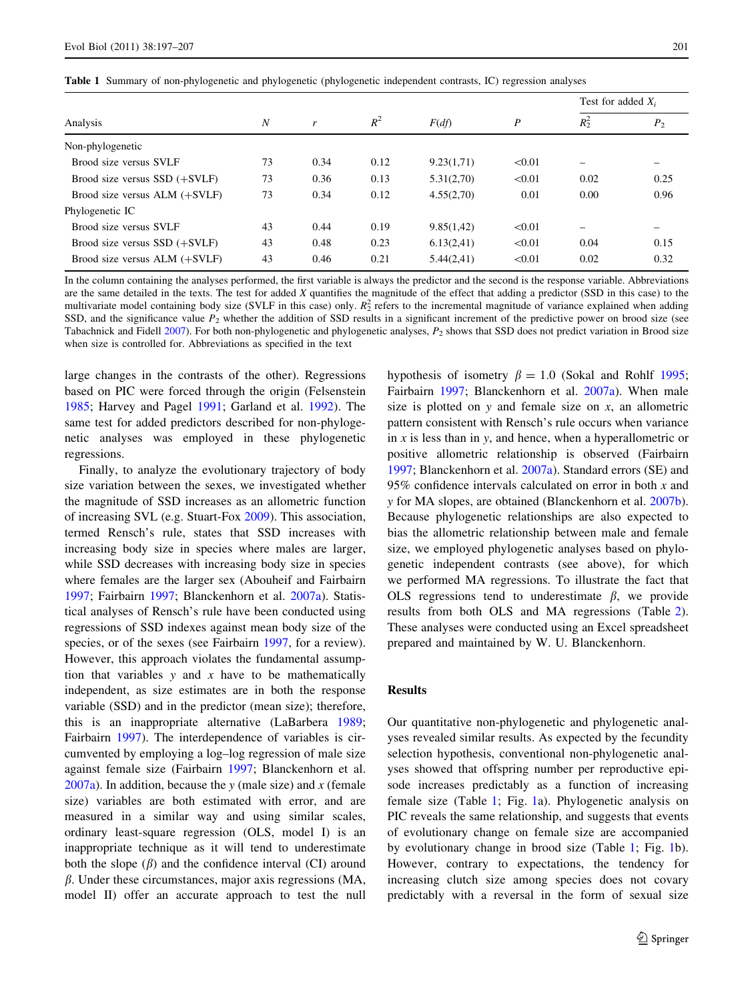<span id="page-4-0"></span>Table 1 Summary of non-phylogenetic and phylogenetic (phylogenetic independent contrasts, IC) regression analyses

|                                   | $\boldsymbol{N}$ | r    | $R^2$ | F(df)      | P      | Test for added $X_i$ |                |
|-----------------------------------|------------------|------|-------|------------|--------|----------------------|----------------|
| Analysis                          |                  |      |       |            |        | $R_2^2$              | P <sub>2</sub> |
| Non-phylogenetic                  |                  |      |       |            |        |                      |                |
| Brood size versus SVLF            | 73               | 0.34 | 0.12  | 9.23(1,71) | < 0.01 | -                    |                |
| Brood size versus $SSD$ $(+SVLF)$ | 73               | 0.36 | 0.13  | 5.31(2,70) | < 0.01 | 0.02                 | 0.25           |
| Brood size versus $ALM$ $(+SVLF)$ | 73               | 0.34 | 0.12  | 4.55(2,70) | 0.01   | 0.00                 | 0.96           |
| Phylogenetic IC                   |                  |      |       |            |        |                      |                |
| Brood size versus SVLF            | 43               | 0.44 | 0.19  | 9.85(1,42) | < 0.01 | -                    |                |
| Brood size versus $SSD (+SVLF)$   | 43               | 0.48 | 0.23  | 6.13(2,41) | < 0.01 | 0.04                 | 0.15           |
| Brood size versus $ALM$ $(+SVLF)$ | 43               | 0.46 | 0.21  | 5.44(2,41) | < 0.01 | 0.02                 | 0.32           |

In the column containing the analyses performed, the first variable is always the predictor and the second is the response variable. Abbreviations are the same detailed in the texts. The test for added X quantifies the magnitude of the effect that adding a predictor (SSD in this case) to the multivariate model containing body size (SVLF in this case) only.  $R_2^2$  refers to the incremental magnitude of variance explained when adding SSD, and the significance value  $P_2$  whether the addition of SSD results in a significant increment of the predictive power on brood size (see Tabachnick and Fidell [2007\)](#page-10-0). For both non-phylogenetic and phylogenetic analyses,  $P_2$  shows that SSD does not predict variation in Brood size when size is controlled for. Abbreviations as specified in the text

large changes in the contrasts of the other). Regressions based on PIC were forced through the origin (Felsenstein [1985;](#page-9-0) Harvey and Pagel [1991;](#page-9-0) Garland et al. [1992\)](#page-9-0). The same test for added predictors described for non-phylogenetic analyses was employed in these phylogenetic regressions.

Finally, to analyze the evolutionary trajectory of body size variation between the sexes, we investigated whether the magnitude of SSD increases as an allometric function of increasing SVL (e.g. Stuart-Fox [2009](#page-10-0)). This association, termed Rensch's rule, states that SSD increases with increasing body size in species where males are larger, while SSD decreases with increasing body size in species where females are the larger sex (Abouheif and Fairbairn [1997;](#page-8-0) Fairbairn [1997](#page-9-0); Blanckenhorn et al. [2007a\)](#page-8-0). Statistical analyses of Rensch's rule have been conducted using regressions of SSD indexes against mean body size of the species, or of the sexes (see Fairbairn [1997,](#page-9-0) for a review). However, this approach violates the fundamental assumption that variables  $y$  and  $x$  have to be mathematically independent, as size estimates are in both the response variable (SSD) and in the predictor (mean size); therefore, this is an inappropriate alternative (LaBarbera [1989](#page-9-0); Fairbairn [1997\)](#page-9-0). The interdependence of variables is circumvented by employing a log–log regression of male size against female size (Fairbairn [1997;](#page-9-0) Blanckenhorn et al. [2007a](#page-8-0)). In addition, because the y (male size) and x (female size) variables are both estimated with error, and are measured in a similar way and using similar scales, ordinary least-square regression (OLS, model I) is an inappropriate technique as it will tend to underestimate both the slope  $(\beta)$  and the confidence interval (CI) around  $\beta$ . Under these circumstances, major axis regressions (MA, model II) offer an accurate approach to test the null hypothesis of isometry  $\beta = 1.0$  (Sokal and Rohlf [1995](#page-10-0); Fairbairn [1997](#page-9-0); Blanckenhorn et al. [2007a\)](#page-8-0). When male size is plotted on  $y$  and female size on  $x$ , an allometric pattern consistent with Rensch's rule occurs when variance in  $x$  is less than in  $y$ , and hence, when a hyperallometric or positive allometric relationship is observed (Fairbairn [1997](#page-9-0); Blanckenhorn et al. [2007a\)](#page-8-0). Standard errors (SE) and 95% confidence intervals calculated on error in both x and y for MA slopes, are obtained (Blanckenhorn et al. [2007b](#page-8-0)). Because phylogenetic relationships are also expected to bias the allometric relationship between male and female size, we employed phylogenetic analyses based on phylogenetic independent contrasts (see above), for which we performed MA regressions. To illustrate the fact that OLS regressions tend to underestimate  $\beta$ , we provide results from both OLS and MA regressions (Table [2](#page-5-0)). These analyses were conducted using an Excel spreadsheet prepared and maintained by W. U. Blanckenhorn.

#### Results

Our quantitative non-phylogenetic and phylogenetic analyses revealed similar results. As expected by the fecundity selection hypothesis, conventional non-phylogenetic analyses showed that offspring number per reproductive episode increases predictably as a function of increasing female size (Table 1; Fig. [1a](#page-5-0)). Phylogenetic analysis on PIC reveals the same relationship, and suggests that events of evolutionary change on female size are accompanied by evolutionary change in brood size (Table 1; Fig. [1](#page-5-0)b). However, contrary to expectations, the tendency for increasing clutch size among species does not covary predictably with a reversal in the form of sexual size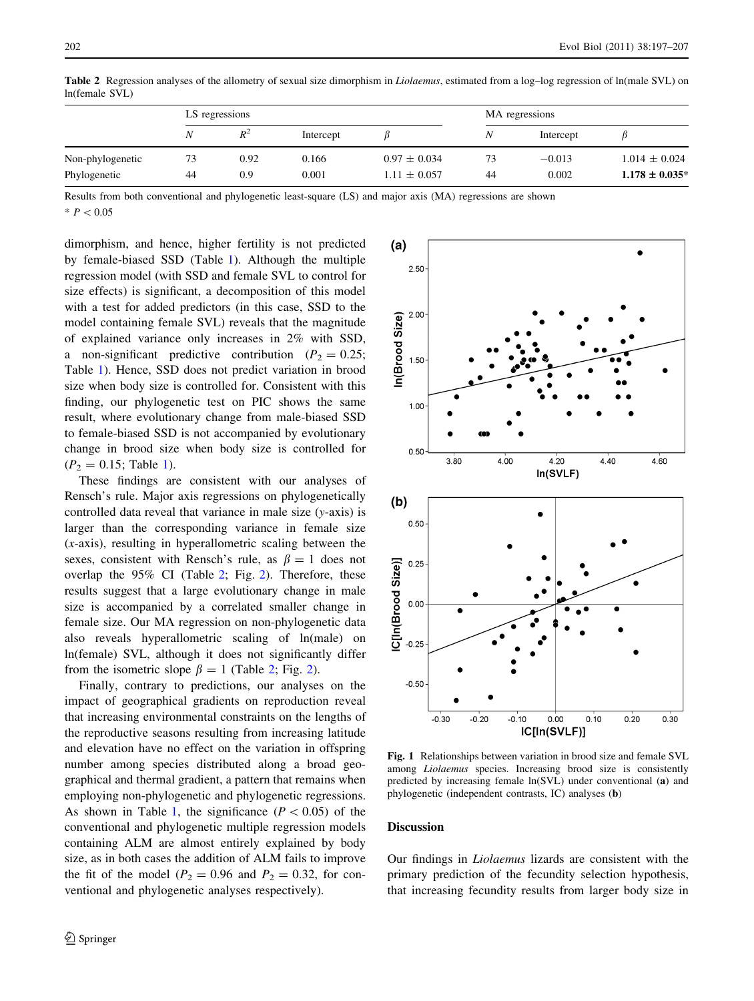|                  |    | LS regressions |           |                  | MA regressions |           |                     |
|------------------|----|----------------|-----------|------------------|----------------|-----------|---------------------|
|                  |    | $R^2$          | Intercept |                  |                | Intercept |                     |
| Non-phylogenetic | 73 | 0.92           | 0.166     | $0.97 \pm 0.034$ | 73             | $-0.013$  | $1.014 \pm 0.024$   |
| Phylogenetic     | 44 | 0.9            | 0.001     | $1.11 \pm 0.057$ | 44             | 0.002     | $1.178 \pm 0.035^*$ |

<span id="page-5-0"></span>Table 2 Regression analyses of the allometry of sexual size dimorphism in Liolaemus, estimated from a log-log regression of ln(male SVL) on ln(female SVL)

Results from both conventional and phylogenetic least-square (LS) and major axis (MA) regressions are shown

 $* P < 0.05$ 

dimorphism, and hence, higher fertility is not predicted by female-biased SSD (Table [1\)](#page-4-0). Although the multiple regression model (with SSD and female SVL to control for size effects) is significant, a decomposition of this model with a test for added predictors (in this case, SSD to the model containing female SVL) reveals that the magnitude of explained variance only increases in 2% with SSD, a non-significant predictive contribution ( $P_2 = 0.25$ ; Table [1](#page-4-0)). Hence, SSD does not predict variation in brood size when body size is controlled for. Consistent with this finding, our phylogenetic test on PIC shows the same result, where evolutionary change from male-biased SSD to female-biased SSD is not accompanied by evolutionary change in brood size when body size is controlled for  $(P_2 = 0.15;$  $(P_2 = 0.15;$  $(P_2 = 0.15;$  Table 1).

These findings are consistent with our analyses of Rensch's rule. Major axis regressions on phylogenetically controlled data reveal that variance in male size (y-axis) is larger than the corresponding variance in female size  $(x-axis)$ , resulting in hyperallometric scaling between the sexes, consistent with Rensch's rule, as  $\beta = 1$  does not overlap the 95% CI (Table 2; Fig. [2\)](#page-6-0). Therefore, these results suggest that a large evolutionary change in male size is accompanied by a correlated smaller change in female size. Our MA regression on non-phylogenetic data also reveals hyperallometric scaling of ln(male) on ln(female) SVL, although it does not significantly differ from the isometric slope  $\beta = 1$  (Table [2](#page-6-0); Fig. 2).

Finally, contrary to predictions, our analyses on the impact of geographical gradients on reproduction reveal that increasing environmental constraints on the lengths of the reproductive seasons resulting from increasing latitude and elevation have no effect on the variation in offspring number among species distributed along a broad geographical and thermal gradient, a pattern that remains when employing non-phylogenetic and phylogenetic regressions. As shown in Table [1](#page-4-0), the significance  $(P<0.05)$  of the conventional and phylogenetic multiple regression models containing ALM are almost entirely explained by body size, as in both cases the addition of ALM fails to improve the fit of the model ( $P_2 = 0.96$  and  $P_2 = 0.32$ , for conventional and phylogenetic analyses respectively).



Fig. 1 Relationships between variation in brood size and female SVL among Liolaemus species. Increasing brood size is consistently predicted by increasing female ln(SVL) under conventional (a) and phylogenetic (independent contrasts, IC) analyses (b)

# Discussion

Our findings in Liolaemus lizards are consistent with the primary prediction of the fecundity selection hypothesis, that increasing fecundity results from larger body size in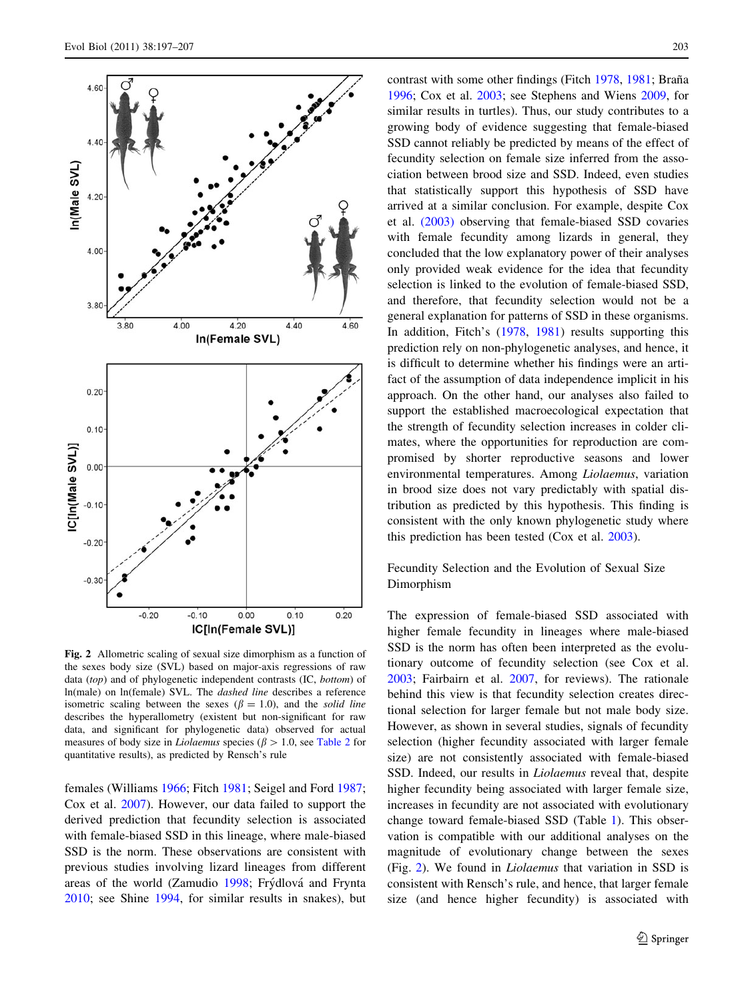<span id="page-6-0"></span>

Fig. 2 Allometric scaling of sexual size dimorphism as a function of the sexes body size (SVL) based on major-axis regressions of raw data (top) and of phylogenetic independent contrasts (IC, bottom) of ln(male) on ln(female) SVL. The dashed line describes a reference isometric scaling between the sexes ( $\beta = 1.0$ ), and the solid line describes the hyperallometry (existent but non-significant for raw data, and significant for phylogenetic data) observed for actual measures of body size in *Liolaemus* species ( $\beta > 1.0$ , see [Table 2](#page-5-0) for quantitative results), as predicted by Rensch's rule

females (Williams [1966](#page-10-0); Fitch [1981](#page-9-0); Seigel and Ford [1987](#page-10-0); Cox et al. [2007\)](#page-8-0). However, our data failed to support the derived prediction that fecundity selection is associated with female-biased SSD in this lineage, where male-biased SSD is the norm. These observations are consistent with previous studies involving lizard lineages from different areas of the world (Zamudio [1998;](#page-10-0) Frýdlová and Frynta [2010;](#page-9-0) see Shine [1994](#page-10-0), for similar results in snakes), but contrast with some other findings (Fitch [1978,](#page-9-0) [1981;](#page-9-0) Braña [1996](#page-8-0); Cox et al. [2003;](#page-8-0) see Stephens and Wiens [2009,](#page-10-0) for similar results in turtles). Thus, our study contributes to a growing body of evidence suggesting that female-biased SSD cannot reliably be predicted by means of the effect of fecundity selection on female size inferred from the association between brood size and SSD. Indeed, even studies that statistically support this hypothesis of SSD have arrived at a similar conclusion. For example, despite Cox et al. [\(2003\)](#page-8-0) observing that female-biased SSD covaries with female fecundity among lizards in general, they concluded that the low explanatory power of their analyses only provided weak evidence for the idea that fecundity selection is linked to the evolution of female-biased SSD, and therefore, that fecundity selection would not be a general explanation for patterns of SSD in these organisms. In addition, Fitch's ([1978,](#page-9-0) [1981\)](#page-9-0) results supporting this prediction rely on non-phylogenetic analyses, and hence, it is difficult to determine whether his findings were an artifact of the assumption of data independence implicit in his approach. On the other hand, our analyses also failed to support the established macroecological expectation that the strength of fecundity selection increases in colder climates, where the opportunities for reproduction are compromised by shorter reproductive seasons and lower environmental temperatures. Among Liolaemus, variation in brood size does not vary predictably with spatial distribution as predicted by this hypothesis. This finding is consistent with the only known phylogenetic study where this prediction has been tested (Cox et al. [2003](#page-8-0)).

# Fecundity Selection and the Evolution of Sexual Size Dimorphism

The expression of female-biased SSD associated with higher female fecundity in lineages where male-biased SSD is the norm has often been interpreted as the evolutionary outcome of fecundity selection (see Cox et al. [2003](#page-8-0); Fairbairn et al. [2007,](#page-9-0) for reviews). The rationale behind this view is that fecundity selection creates directional selection for larger female but not male body size. However, as shown in several studies, signals of fecundity selection (higher fecundity associated with larger female size) are not consistently associated with female-biased SSD. Indeed, our results in Liolaemus reveal that, despite higher fecundity being associated with larger female size, increases in fecundity are not associated with evolutionary change toward female-biased SSD (Table [1\)](#page-4-0). This observation is compatible with our additional analyses on the magnitude of evolutionary change between the sexes (Fig. 2). We found in Liolaemus that variation in SSD is consistent with Rensch's rule, and hence, that larger female size (and hence higher fecundity) is associated with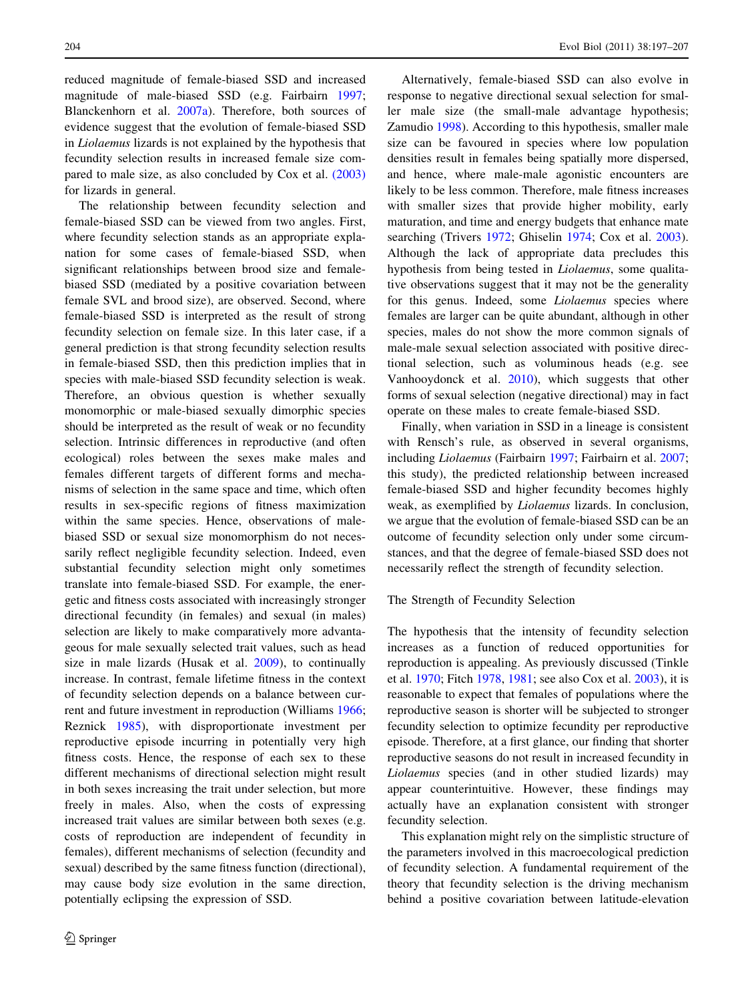reduced magnitude of female-biased SSD and increased magnitude of male-biased SSD (e.g. Fairbairn [1997](#page-9-0); Blanckenhorn et al. [2007a](#page-8-0)). Therefore, both sources of evidence suggest that the evolution of female-biased SSD in Liolaemus lizards is not explained by the hypothesis that fecundity selection results in increased female size compared to male size, as also concluded by Cox et al. [\(2003\)](#page-8-0) for lizards in general.

The relationship between fecundity selection and female-biased SSD can be viewed from two angles. First, where fecundity selection stands as an appropriate explanation for some cases of female-biased SSD, when significant relationships between brood size and femalebiased SSD (mediated by a positive covariation between female SVL and brood size), are observed. Second, where female-biased SSD is interpreted as the result of strong fecundity selection on female size. In this later case, if a general prediction is that strong fecundity selection results in female-biased SSD, then this prediction implies that in species with male-biased SSD fecundity selection is weak. Therefore, an obvious question is whether sexually monomorphic or male-biased sexually dimorphic species should be interpreted as the result of weak or no fecundity selection. Intrinsic differences in reproductive (and often ecological) roles between the sexes make males and females different targets of different forms and mechanisms of selection in the same space and time, which often results in sex-specific regions of fitness maximization within the same species. Hence, observations of malebiased SSD or sexual size monomorphism do not necessarily reflect negligible fecundity selection. Indeed, even substantial fecundity selection might only sometimes translate into female-biased SSD. For example, the energetic and fitness costs associated with increasingly stronger directional fecundity (in females) and sexual (in males) selection are likely to make comparatively more advantageous for male sexually selected trait values, such as head size in male lizards (Husak et al. [2009\)](#page-9-0), to continually increase. In contrast, female lifetime fitness in the context of fecundity selection depends on a balance between current and future investment in reproduction (Williams [1966](#page-10-0); Reznick [1985\)](#page-10-0), with disproportionate investment per reproductive episode incurring in potentially very high fitness costs. Hence, the response of each sex to these different mechanisms of directional selection might result in both sexes increasing the trait under selection, but more freely in males. Also, when the costs of expressing increased trait values are similar between both sexes (e.g. costs of reproduction are independent of fecundity in females), different mechanisms of selection (fecundity and sexual) described by the same fitness function (directional), may cause body size evolution in the same direction, potentially eclipsing the expression of SSD.

Alternatively, female-biased SSD can also evolve in response to negative directional sexual selection for smaller male size (the small-male advantage hypothesis; Zamudio [1998\)](#page-10-0). According to this hypothesis, smaller male size can be favoured in species where low population densities result in females being spatially more dispersed, and hence, where male-male agonistic encounters are likely to be less common. Therefore, male fitness increases with smaller sizes that provide higher mobility, early maturation, and time and energy budgets that enhance mate searching (Trivers [1972;](#page-10-0) Ghiselin [1974;](#page-9-0) Cox et al. [2003](#page-8-0)). Although the lack of appropriate data precludes this hypothesis from being tested in Liolaemus, some qualitative observations suggest that it may not be the generality for this genus. Indeed, some Liolaemus species where females are larger can be quite abundant, although in other species, males do not show the more common signals of male-male sexual selection associated with positive directional selection, such as voluminous heads (e.g. see Vanhooydonck et al. [2010](#page-10-0)), which suggests that other forms of sexual selection (negative directional) may in fact operate on these males to create female-biased SSD.

Finally, when variation in SSD in a lineage is consistent with Rensch's rule, as observed in several organisms, including Liolaemus (Fairbairn [1997;](#page-9-0) Fairbairn et al. [2007](#page-9-0); this study), the predicted relationship between increased female-biased SSD and higher fecundity becomes highly weak, as exemplified by Liolaemus lizards. In conclusion, we argue that the evolution of female-biased SSD can be an outcome of fecundity selection only under some circumstances, and that the degree of female-biased SSD does not necessarily reflect the strength of fecundity selection.

## The Strength of Fecundity Selection

The hypothesis that the intensity of fecundity selection increases as a function of reduced opportunities for reproduction is appealing. As previously discussed (Tinkle et al. [1970](#page-10-0); Fitch [1978](#page-9-0), [1981](#page-9-0); see also Cox et al. [2003](#page-8-0)), it is reasonable to expect that females of populations where the reproductive season is shorter will be subjected to stronger fecundity selection to optimize fecundity per reproductive episode. Therefore, at a first glance, our finding that shorter reproductive seasons do not result in increased fecundity in Liolaemus species (and in other studied lizards) may appear counterintuitive. However, these findings may actually have an explanation consistent with stronger fecundity selection.

This explanation might rely on the simplistic structure of the parameters involved in this macroecological prediction of fecundity selection. A fundamental requirement of the theory that fecundity selection is the driving mechanism behind a positive covariation between latitude-elevation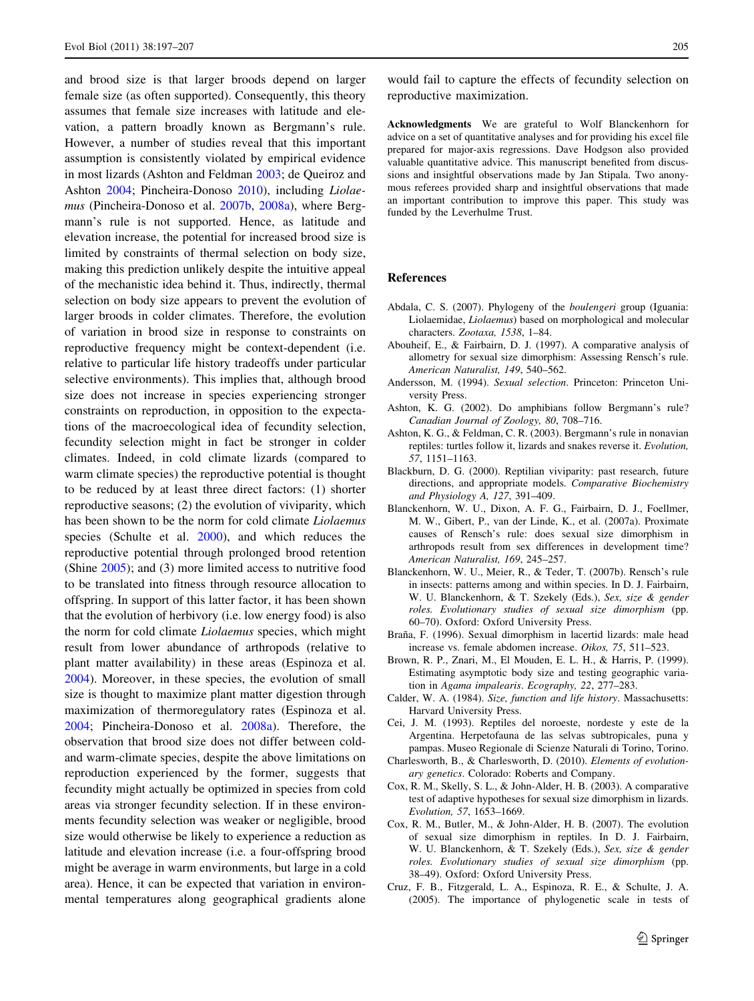<span id="page-8-0"></span>and brood size is that larger broods depend on larger female size (as often supported). Consequently, this theory assumes that female size increases with latitude and elevation, a pattern broadly known as Bergmann's rule. However, a number of studies reveal that this important assumption is consistently violated by empirical evidence in most lizards (Ashton and Feldman 2003; de Queiroz and Ashton [2004](#page-9-0); Pincheira-Donoso [2010\)](#page-9-0), including Liolaemus (Pincheira-Donoso et al. [2007b,](#page-9-0) [2008a](#page-9-0)), where Bergmann's rule is not supported. Hence, as latitude and elevation increase, the potential for increased brood size is limited by constraints of thermal selection on body size, making this prediction unlikely despite the intuitive appeal of the mechanistic idea behind it. Thus, indirectly, thermal selection on body size appears to prevent the evolution of larger broods in colder climates. Therefore, the evolution of variation in brood size in response to constraints on reproductive frequency might be context-dependent (i.e. relative to particular life history tradeoffs under particular selective environments). This implies that, although brood size does not increase in species experiencing stronger constraints on reproduction, in opposition to the expectations of the macroecological idea of fecundity selection, fecundity selection might in fact be stronger in colder climates. Indeed, in cold climate lizards (compared to warm climate species) the reproductive potential is thought to be reduced by at least three direct factors: (1) shorter reproductive seasons; (2) the evolution of viviparity, which has been shown to be the norm for cold climate Liolaemus species (Schulte et al. [2000\)](#page-10-0), and which reduces the reproductive potential through prolonged brood retention (Shine [2005\)](#page-10-0); and (3) more limited access to nutritive food to be translated into fitness through resource allocation to offspring. In support of this latter factor, it has been shown that the evolution of herbivory (i.e. low energy food) is also the norm for cold climate *Liolaemus* species, which might result from lower abundance of arthropods (relative to plant matter availability) in these areas (Espinoza et al. [2004\)](#page-9-0). Moreover, in these species, the evolution of small size is thought to maximize plant matter digestion through maximization of thermoregulatory rates (Espinoza et al. [2004;](#page-9-0) Pincheira-Donoso et al. [2008a](#page-9-0)). Therefore, the observation that brood size does not differ between coldand warm-climate species, despite the above limitations on reproduction experienced by the former, suggests that fecundity might actually be optimized in species from cold areas via stronger fecundity selection. If in these environments fecundity selection was weaker or negligible, brood size would otherwise be likely to experience a reduction as latitude and elevation increase (i.e. a four-offspring brood might be average in warm environments, but large in a cold area). Hence, it can be expected that variation in environmental temperatures along geographical gradients alone

would fail to capture the effects of fecundity selection on reproductive maximization.

Acknowledgments We are grateful to Wolf Blanckenhorn for advice on a set of quantitative analyses and for providing his excel file prepared for major-axis regressions. Dave Hodgson also provided valuable quantitative advice. This manuscript benefited from discussions and insightful observations made by Jan Stipala. Two anonymous referees provided sharp and insightful observations that made an important contribution to improve this paper. This study was funded by the Leverhulme Trust.

# References

- Abdala, C. S. (2007). Phylogeny of the boulengeri group (Iguania: Liolaemidae, Liolaemus) based on morphological and molecular characters. Zootaxa, 1538, 1–84.
- Abouheif, E., & Fairbairn, D. J. (1997). A comparative analysis of allometry for sexual size dimorphism: Assessing Rensch's rule. American Naturalist, 149, 540–562.
- Andersson, M. (1994). Sexual selection. Princeton: Princeton University Press.
- Ashton, K. G. (2002). Do amphibians follow Bergmann's rule? Canadian Journal of Zoology, 80, 708–716.
- Ashton, K. G., & Feldman, C. R. (2003). Bergmann's rule in nonavian reptiles: turtles follow it, lizards and snakes reverse it. Evolution, 57, 1151–1163.
- Blackburn, D. G. (2000). Reptilian viviparity: past research, future directions, and appropriate models. Comparative Biochemistry and Physiology A, 127, 391–409.
- Blanckenhorn, W. U., Dixon, A. F. G., Fairbairn, D. J., Foellmer, M. W., Gibert, P., van der Linde, K., et al. (2007a). Proximate causes of Rensch's rule: does sexual size dimorphism in arthropods result from sex differences in development time? American Naturalist, 169, 245–257.
- Blanckenhorn, W. U., Meier, R., & Teder, T. (2007b). Rensch's rule in insects: patterns among and within species. In D. J. Fairbairn, W. U. Blanckenhorn, & T. Szekely (Eds.), Sex, size & gender roles. Evolutionary studies of sexual size dimorphism (pp. 60–70). Oxford: Oxford University Press.
- Braña, F. (1996). Sexual dimorphism in lacertid lizards: male head increase vs. female abdomen increase. Oikos, 75, 511–523.
- Brown, R. P., Znari, M., El Mouden, E. L. H., & Harris, P. (1999). Estimating asymptotic body size and testing geographic variation in Agama impalearis. Ecography, 22, 277–283.
- Calder, W. A. (1984). Size, function and life history. Massachusetts: Harvard University Press.
- Cei, J. M. (1993). Reptiles del noroeste, nordeste y este de la Argentina. Herpetofauna de las selvas subtropicales, puna y pampas. Museo Regionale di Scienze Naturali di Torino, Torino.
- Charlesworth, B., & Charlesworth, D. (2010). Elements of evolutionary genetics. Colorado: Roberts and Company.
- Cox, R. M., Skelly, S. L., & John-Alder, H. B. (2003). A comparative test of adaptive hypotheses for sexual size dimorphism in lizards. Evolution, 57, 1653–1669.
- Cox, R. M., Butler, M., & John-Alder, H. B. (2007). The evolution of sexual size dimorphism in reptiles. In D. J. Fairbairn, W. U. Blanckenhorn, & T. Szekely (Eds.), Sex, size & gender roles. Evolutionary studies of sexual size dimorphism (pp. 38–49). Oxford: Oxford University Press.
- Cruz, F. B., Fitzgerald, L. A., Espinoza, R. E., & Schulte, J. A. (2005). The importance of phylogenetic scale in tests of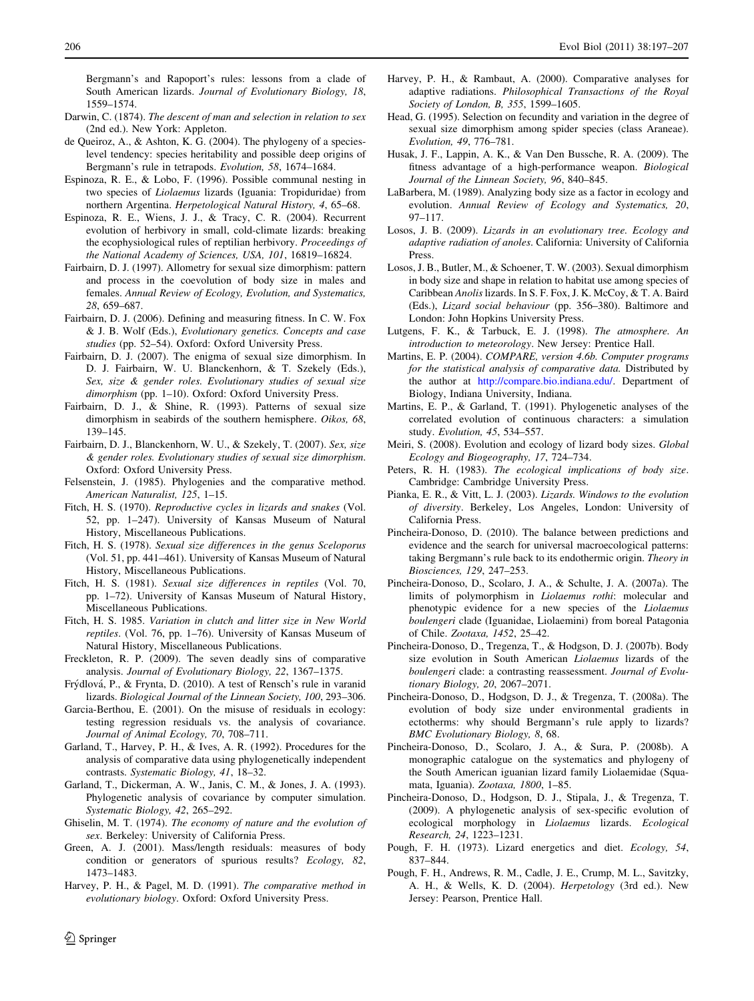<span id="page-9-0"></span>Bergmann's and Rapoport's rules: lessons from a clade of South American lizards. Journal of Evolutionary Biology, 18, 1559–1574.

- Darwin, C. (1874). The descent of man and selection in relation to sex (2nd ed.). New York: Appleton.
- de Queiroz, A., & Ashton, K. G. (2004). The phylogeny of a specieslevel tendency: species heritability and possible deep origins of Bergmann's rule in tetrapods. Evolution, 58, 1674–1684.
- Espinoza, R. E., & Lobo, F. (1996). Possible communal nesting in two species of Liolaemus lizards (Iguania: Tropiduridae) from northern Argentina. Herpetological Natural History, 4, 65–68.
- Espinoza, R. E., Wiens, J. J., & Tracy, C. R. (2004). Recurrent evolution of herbivory in small, cold-climate lizards: breaking the ecophysiological rules of reptilian herbivory. Proceedings of the National Academy of Sciences, USA, 101, 16819–16824.
- Fairbairn, D. J. (1997). Allometry for sexual size dimorphism: pattern and process in the coevolution of body size in males and females. Annual Review of Ecology, Evolution, and Systematics, 28, 659–687.
- Fairbairn, D. J. (2006). Defining and measuring fitness. In C. W. Fox & J. B. Wolf (Eds.), Evolutionary genetics. Concepts and case studies (pp. 52–54). Oxford: Oxford University Press.
- Fairbairn, D. J. (2007). The enigma of sexual size dimorphism. In D. J. Fairbairn, W. U. Blanckenhorn, & T. Szekely (Eds.), Sex, size & gender roles. Evolutionary studies of sexual size dimorphism (pp. 1-10). Oxford: Oxford University Press.
- Fairbairn, D. J., & Shine, R. (1993). Patterns of sexual size dimorphism in seabirds of the southern hemisphere. Oikos, 68, 139–145.
- Fairbairn, D. J., Blanckenhorn, W. U., & Szekely, T. (2007). Sex, size & gender roles. Evolutionary studies of sexual size dimorphism. Oxford: Oxford University Press.
- Felsenstein, J. (1985). Phylogenies and the comparative method. American Naturalist, 125, 1–15.
- Fitch, H. S. (1970). Reproductive cycles in lizards and snakes (Vol. 52, pp. 1–247). University of Kansas Museum of Natural History, Miscellaneous Publications.
- Fitch, H. S. (1978). Sexual size differences in the genus Sceloporus (Vol. 51, pp. 441–461). University of Kansas Museum of Natural History, Miscellaneous Publications.
- Fitch, H. S. (1981). Sexual size differences in reptiles (Vol. 70, pp. 1–72). University of Kansas Museum of Natural History, Miscellaneous Publications.
- Fitch, H. S. 1985. Variation in clutch and litter size in New World reptiles. (Vol. 76, pp. 1–76). University of Kansas Museum of Natural History, Miscellaneous Publications.
- Freckleton, R. P. (2009). The seven deadly sins of comparative analysis. Journal of Evolutionary Biology, 22, 1367–1375.
- Fry´dlova´, P., & Frynta, D. (2010). A test of Rensch's rule in varanid lizards. Biological Journal of the Linnean Society, 100, 293–306.
- Garcia-Berthou, E. (2001). On the misuse of residuals in ecology: testing regression residuals vs. the analysis of covariance. Journal of Animal Ecology, 70, 708–711.
- Garland, T., Harvey, P. H., & Ives, A. R. (1992). Procedures for the analysis of comparative data using phylogenetically independent contrasts. Systematic Biology, 41, 18–32.
- Garland, T., Dickerman, A. W., Janis, C. M., & Jones, J. A. (1993). Phylogenetic analysis of covariance by computer simulation. Systematic Biology, 42, 265–292.
- Ghiselin, M. T. (1974). The economy of nature and the evolution of sex. Berkeley: University of California Press.
- Green, A. J. (2001). Mass/length residuals: measures of body condition or generators of spurious results? Ecology, 82, 1473–1483.
- Harvey, P. H., & Pagel, M. D. (1991). The comparative method in evolutionary biology. Oxford: Oxford University Press.
- sexual size dimorphism among spider species (class Araneae). Evolution, 49, 776–781. Husak, J. F., Lappin, A. K., & Van Den Bussche, R. A. (2009). The
	- fitness advantage of a high-performance weapon. Biological Journal of the Linnean Society, 96, 840–845.

Harvey, P. H., & Rambaut, A. (2000). Comparative analyses for adaptive radiations. Philosophical Transactions of the Royal

Head, G. (1995). Selection on fecundity and variation in the degree of

Society of London, B, 355, 1599–1605.

- LaBarbera, M. (1989). Analyzing body size as a factor in ecology and evolution. Annual Review of Ecology and Systematics, 20, 97–117.
- Losos, J. B. (2009). Lizards in an evolutionary tree. Ecology and adaptive radiation of anoles. California: University of California Press.
- Losos, J. B., Butler, M., & Schoener, T. W. (2003). Sexual dimorphism in body size and shape in relation to habitat use among species of Caribbean Anolis lizards. In S. F. Fox, J. K. McCoy, & T. A. Baird (Eds.), Lizard social behaviour (pp. 356–380). Baltimore and London: John Hopkins University Press.
- Lutgens, F. K., & Tarbuck, E. J. (1998). The atmosphere. An introduction to meteorology. New Jersey: Prentice Hall.
- Martins, E. P. (2004). COMPARE, version 4.6b. Computer programs for the statistical analysis of comparative data. Distributed by the author at <http://compare.bio.indiana.edu/>. Department of Biology, Indiana University, Indiana.
- Martins, E. P., & Garland, T. (1991). Phylogenetic analyses of the correlated evolution of continuous characters: a simulation study. Evolution, 45, 534–557.
- Meiri, S. (2008). Evolution and ecology of lizard body sizes. Global Ecology and Biogeography, 17, 724–734.
- Peters, R. H. (1983). The ecological implications of body size. Cambridge: Cambridge University Press.
- Pianka, E. R., & Vitt, L. J. (2003). Lizards. Windows to the evolution of diversity. Berkeley, Los Angeles, London: University of California Press.
- Pincheira-Donoso, D. (2010). The balance between predictions and evidence and the search for universal macroecological patterns: taking Bergmann's rule back to its endothermic origin. Theory in Biosciences, 129, 247–253.
- Pincheira-Donoso, D., Scolaro, J. A., & Schulte, J. A. (2007a). The limits of polymorphism in Liolaemus rothi: molecular and phenotypic evidence for a new species of the Liolaemus boulengeri clade (Iguanidae, Liolaemini) from boreal Patagonia of Chile. Zootaxa, 1452, 25–42.
- Pincheira-Donoso, D., Tregenza, T., & Hodgson, D. J. (2007b). Body size evolution in South American Liolaemus lizards of the boulengeri clade: a contrasting reassessment. Journal of Evolutionary Biology, 20, 2067–2071.
- Pincheira-Donoso, D., Hodgson, D. J., & Tregenza, T. (2008a). The evolution of body size under environmental gradients in ectotherms: why should Bergmann's rule apply to lizards? BMC Evolutionary Biology, 8, 68.
- Pincheira-Donoso, D., Scolaro, J. A., & Sura, P. (2008b). A monographic catalogue on the systematics and phylogeny of the South American iguanian lizard family Liolaemidae (Squamata, Iguania). Zootaxa, 1800, 1–85.
- Pincheira-Donoso, D., Hodgson, D. J., Stipala, J., & Tregenza, T. (2009). A phylogenetic analysis of sex-specific evolution of ecological morphology in Liolaemus lizards. Ecological Research, 24, 1223–1231.
- Pough, F. H. (1973). Lizard energetics and diet. Ecology, 54, 837–844.
- Pough, F. H., Andrews, R. M., Cadle, J. E., Crump, M. L., Savitzky, A. H., & Wells, K. D. (2004). Herpetology (3rd ed.). New Jersey: Pearson, Prentice Hall.